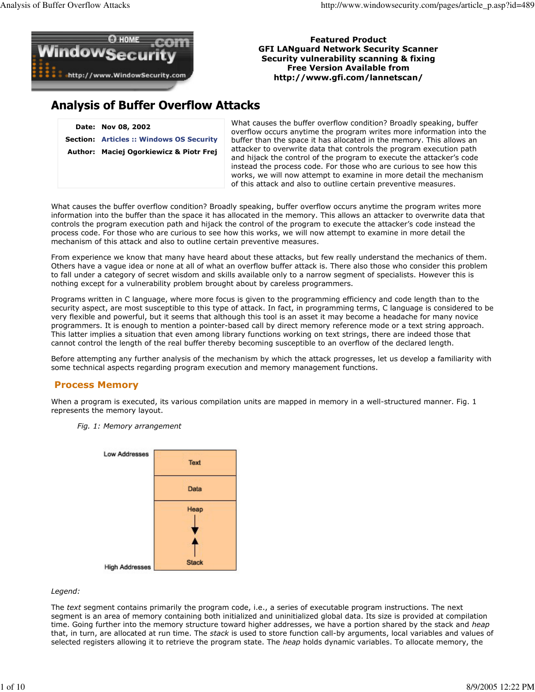

### Featured Product GFI LANguard Network Security Scanner Security vulnerability scanning & fixing Free Version Available from http://www.gfi.com/lannetscan/

# Analysis of Buffer Overflow Attacks

Date: Nov 08, 2002 Section: Articles :: Windows OS Security Author: Maciej Ogorkiewicz & Piotr Frej What causes the buffer overflow condition? Broadly speaking, buffer overflow occurs anytime the program writes more information into the buffer than the space it has allocated in the memory. This allows an attacker to overwrite data that controls the program execution path and hijack the control of the program to execute the attacker's code instead the process code. For those who are curious to see how this works, we will now attempt to examine in more detail the mechanism of this attack and also to outline certain preventive measures.

What causes the buffer overflow condition? Broadly speaking, buffer overflow occurs anytime the program writes more information into the buffer than the space it has allocated in the memory. This allows an attacker to overwrite data that controls the program execution path and hijack the control of the program to execute the attacker's code instead the process code. For those who are curious to see how this works, we will now attempt to examine in more detail the mechanism of this attack and also to outline certain preventive measures.

From experience we know that many have heard about these attacks, but few really understand the mechanics of them. Others have a vague idea or none at all of what an overflow buffer attack is. There also those who consider this problem to fall under a category of secret wisdom and skills available only to a narrow segment of specialists. However this is nothing except for a vulnerability problem brought about by careless programmers.

Programs written in C language, where more focus is given to the programming efficiency and code length than to the security aspect, are most susceptible to this type of attack. In fact, in programming terms, C language is considered to be very flexible and powerful, but it seems that although this tool is an asset it may become a headache for many novice programmers. It is enough to mention a pointer-based call by direct memory reference mode or a text string approach. This latter implies a situation that even among library functions working on text strings, there are indeed those that cannot control the length of the real buffer thereby becoming susceptible to an overflow of the declared length.

Before attempting any further analysis of the mechanism by which the attack progresses, let us develop a familiarity with some technical aspects regarding program execution and memory management functions.

### Process Memory

When a program is executed, its various compilation units are mapped in memory in a well-structured manner. Fig. 1 represents the memory layout.

Fig. 1: Memory arrangement



### Legend:

The text segment contains primarily the program code, i.e., a series of executable program instructions. The next segment is an area of memory containing both initialized and uninitialized global data. Its size is provided at compilation time. Going further into the memory structure toward higher addresses, we have a portion shared by the stack and heap that, in turn, are allocated at run time. The stack is used to store function call-by arguments, local variables and values of selected registers allowing it to retrieve the program state. The heap holds dynamic variables. To allocate memory, the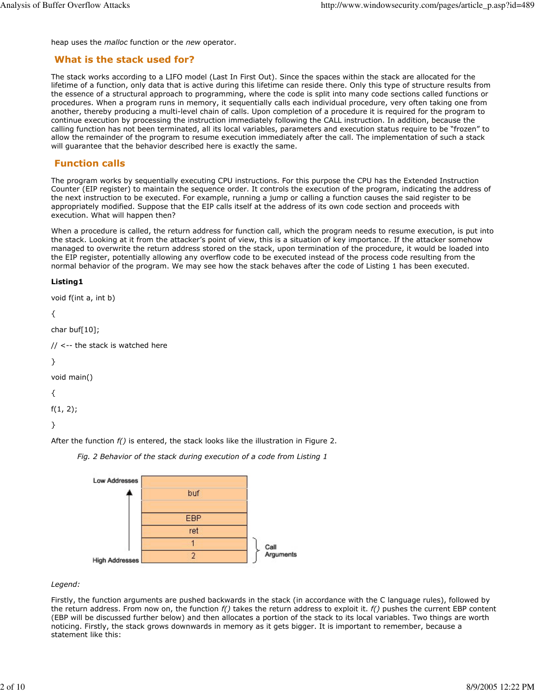heap uses the malloc function or the new operator.

## What is the stack used for?

The stack works according to a LIFO model (Last In First Out). Since the spaces within the stack are allocated for the lifetime of a function, only data that is active during this lifetime can reside there. Only this type of structure results from the essence of a structural approach to programming, where the code is split into many code sections called functions or procedures. When a program runs in memory, it sequentially calls each individual procedure, very often taking one from another, thereby producing a multi-level chain of calls. Upon completion of a procedure it is required for the program to continue execution by processing the instruction immediately following the CALL instruction. In addition, because the calling function has not been terminated, all its local variables, parameters and execution status require to be "frozen" to allow the remainder of the program to resume execution immediately after the call. The implementation of such a stack will guarantee that the behavior described here is exactly the same.

# Function calls

The program works by sequentially executing CPU instructions. For this purpose the CPU has the Extended Instruction Counter (EIP register) to maintain the sequence order. It controls the execution of the program, indicating the address of the next instruction to be executed. For example, running a jump or calling a function causes the said register to be appropriately modified. Suppose that the EIP calls itself at the address of its own code section and proceeds with execution. What will happen then?

When a procedure is called, the return address for function call, which the program needs to resume execution, is put into the stack. Looking at it from the attacker's point of view, this is a situation of key importance. If the attacker somehow managed to overwrite the return address stored on the stack, upon termination of the procedure, it would be loaded into the EIP register, potentially allowing any overflow code to be executed instead of the process code resulting from the normal behavior of the program. We may see how the stack behaves after the code of Listing 1 has been executed.

### Listing1

```
void f(int a, int b)
```

```
{
```

```
char buf[10];
```

```
// <-- the stack is watched here
```
}

```
void main()
```
{

f(1, 2);

}

After the function  $f()$  is entered, the stack looks like the illustration in Figure 2.

Fig. 2 Behavior of the stack during execution of a code from Listing 1



### Legend:

Firstly, the function arguments are pushed backwards in the stack (in accordance with the C language rules), followed by the return address. From now on, the function  $f()$  takes the return address to exploit it.  $f()$  pushes the current EBP content (EBP will be discussed further below) and then allocates a portion of the stack to its local variables. Two things are worth noticing. Firstly, the stack grows downwards in memory as it gets bigger. It is important to remember, because a statement like this: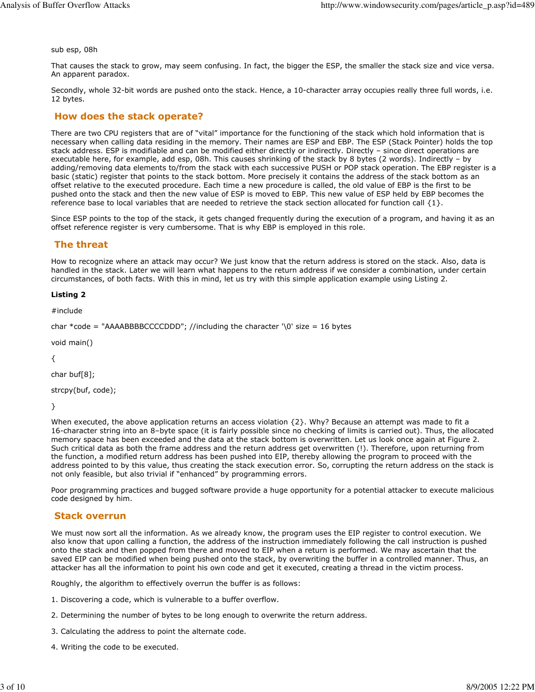sub esp, 08h

That causes the stack to grow, may seem confusing. In fact, the bigger the ESP, the smaller the stack size and vice versa. An apparent paradox.

Secondly, whole 32-bit words are pushed onto the stack. Hence, a 10-character array occupies really three full words, i.e. 12 bytes.

### How does the stack operate?

There are two CPU registers that are of "vital" importance for the functioning of the stack which hold information that is necessary when calling data residing in the memory. Their names are ESP and EBP. The ESP (Stack Pointer) holds the top stack address. ESP is modifiable and can be modified either directly or indirectly. Directly – since direct operations are executable here, for example, add esp, 08h. This causes shrinking of the stack by 8 bytes (2 words). Indirectly – by adding/removing data elements to/from the stack with each successive PUSH or POP stack operation. The EBP register is a basic (static) register that points to the stack bottom. More precisely it contains the address of the stack bottom as an offset relative to the executed procedure. Each time a new procedure is called, the old value of EBP is the first to be pushed onto the stack and then the new value of ESP is moved to EBP. This new value of ESP held by EBP becomes the reference base to local variables that are needed to retrieve the stack section allocated for function call  $\{1\}$ .

Since ESP points to the top of the stack, it gets changed frequently during the execution of a program, and having it as an offset reference register is very cumbersome. That is why EBP is employed in this role.

### The threat

How to recognize where an attack may occur? We just know that the return address is stored on the stack. Also, data is handled in the stack. Later we will learn what happens to the return address if we consider a combination, under certain circumstances, of both facts. With this in mind, let us try with this simple application example using Listing 2.

#### Listing 2

#include

char \*code = "AAAABBBBCCCCDDD"; //including the character '\0' size = 16 bytes

void main()

{

char buf[8];

strcpy(buf, code);

}

When executed, the above application returns an access violation  $\{2\}$ . Why? Because an attempt was made to fit a 16-character string into an 8–byte space (it is fairly possible since no checking of limits is carried out). Thus, the allocated memory space has been exceeded and the data at the stack bottom is overwritten. Let us look once again at Figure 2. Such critical data as both the frame address and the return address get overwritten (!). Therefore, upon returning from the function, a modified return address has been pushed into EIP, thereby allowing the program to proceed with the address pointed to by this value, thus creating the stack execution error. So, corrupting the return address on the stack is not only feasible, but also trivial if "enhanced" by programming errors.

Poor programming practices and bugged software provide a huge opportunity for a potential attacker to execute malicious code designed by him.

### Stack overrun

We must now sort all the information. As we already know, the program uses the EIP register to control execution. We also know that upon calling a function, the address of the instruction immediately following the call instruction is pushed onto the stack and then popped from there and moved to EIP when a return is performed. We may ascertain that the saved EIP can be modified when being pushed onto the stack, by overwriting the buffer in a controlled manner. Thus, an attacker has all the information to point his own code and get it executed, creating a thread in the victim process.

Roughly, the algorithm to effectively overrun the buffer is as follows:

- 1. Discovering a code, which is vulnerable to a buffer overflow.
- 2. Determining the number of bytes to be long enough to overwrite the return address.
- 3. Calculating the address to point the alternate code.
- 4. Writing the code to be executed.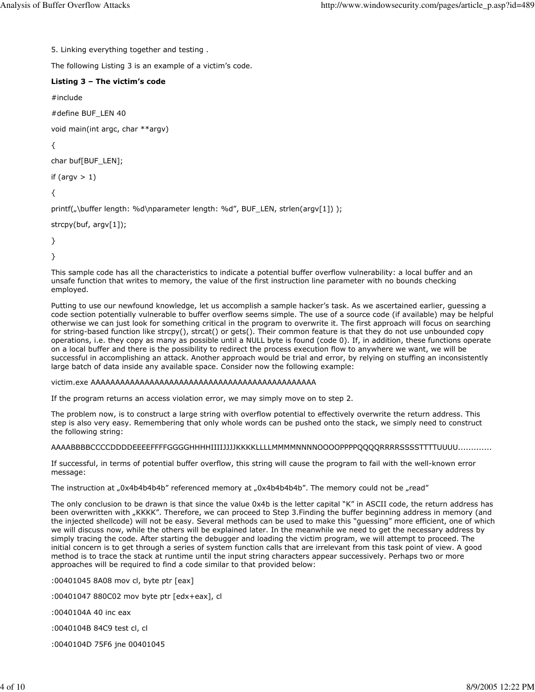5. Linking everything together and testing .

The following Listing 3 is an example of a victim's code.

### Listing 3 – The victim's code

#include

#define BUF\_LEN 40

void main(int argc, char \*\*argv)

{

```
char buf[BUF_LEN];
```
if (argv  $> 1$ )

{

printf("\buffer length: %d\nparameter length: %d", BUF\_LEN, strlen(argv[1]) );

```
strcpy(buf, argv[1]);
```
}

}

This sample code has all the characteristics to indicate a potential buffer overflow vulnerability: a local buffer and an unsafe function that writes to memory, the value of the first instruction line parameter with no bounds checking employed.

Putting to use our newfound knowledge, let us accomplish a sample hacker's task. As we ascertained earlier, guessing a code section potentially vulnerable to buffer overflow seems simple. The use of a source code (if available) may be helpful otherwise we can just look for something critical in the program to overwrite it. The first approach will focus on searching for string-based function like strcpy(), strcat() or gets(). Their common feature is that they do not use unbounded copy operations, i.e. they copy as many as possible until a NULL byte is found (code 0). If, in addition, these functions operate on a local buffer and there is the possibility to redirect the process execution flow to anywhere we want, we will be successful in accomplishing an attack. Another approach would be trial and error, by relying on stuffing an inconsistently large batch of data inside any available space. Consider now the following example:

#### victim.exe AAAAAAAAAAAAAAAAAAAAAAAAAAAAAAAAAAAAAAAAAAAAAA

If the program returns an access violation error, we may simply move on to step 2.

The problem now, is to construct a large string with overflow potential to effectively overwrite the return address. This step is also very easy. Remembering that only whole words can be pushed onto the stack, we simply need to construct the following string:

AAAABBBBCCCCDDDDEEEEFFFFGGGGHHHHIIIIJJJJKKKKLLLLMMMMNNNNOOOOPPPPQQQQRRRRSSSSTTTTUUUU.............

If successful, in terms of potential buffer overflow, this string will cause the program to fail with the well-known error message:

The instruction at "0x4b4b4b4b" referenced memory at "0x4b4b4b4b". The memory could not be "read"

The only conclusion to be drawn is that since the value 0x4b is the letter capital "K" in ASCII code, the return address has been overwritten with "KKKK". Therefore, we can proceed to Step 3. Finding the buffer beginning address in memory (and the injected shellcode) will not be easy. Several methods can be used to make this "guessing" more efficient, one of which we will discuss now, while the others will be explained later. In the meanwhile we need to get the necessary address by simply tracing the code. After starting the debugger and loading the victim program, we will attempt to proceed. The initial concern is to get through a series of system function calls that are irrelevant from this task point of view. A good method is to trace the stack at runtime until the input string characters appear successively. Perhaps two or more approaches will be required to find a code similar to that provided below:

:00401045 8A08 mov cl, byte ptr [eax]

:00401047 880C02 mov byte ptr [edx+eax], cl

:0040104A 40 inc eax

:0040104B 84C9 test cl, cl

:0040104D 75F6 jne 00401045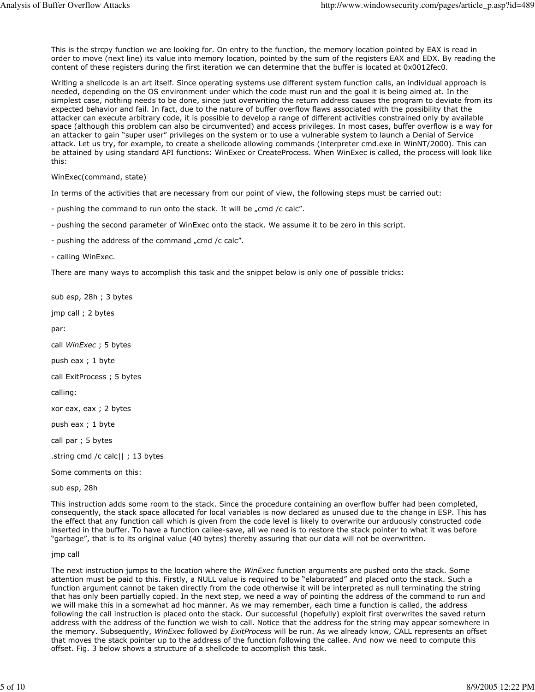This is the strcpy function we are looking for. On entry to the function, the memory location pointed by EAX is read in order to move (next line) its value into memory location, pointed by the sum of the registers EAX and EDX. By reading the content of these registers during the first iteration we can determine that the buffer is located at 0x0012fec0.

Writing a shellcode is an art itself. Since operating systems use different system function calls, an individual approach is needed, depending on the OS environment under which the code must run and the goal it is being aimed at. In the simplest case, nothing needs to be done, since just overwriting the return address causes the program to deviate from its expected behavior and fail. In fact, due to the nature of buffer overflow flaws associated with the possibility that the attacker can execute arbitrary code, it is possible to develop a range of different activities constrained only by available space (although this problem can also be circumvented) and access privileges. In most cases, buffer overflow is a way for an attacker to gain "super user" privileges on the system or to use a vulnerable system to launch a Denial of Service attack. Let us try, for example, to create a shellcode allowing commands (interpreter cmd.exe in WinNT/2000). This can be attained by using standard API functions: WinExec or CreateProcess. When WinExec is called, the process will look like this:

WinExec(command, state)

In terms of the activities that are necessary from our point of view, the following steps must be carried out:

- pushing the command to run onto the stack. It will be "cmd /c calc".

- pushing the second parameter of WinExec onto the stack. We assume it to be zero in this script.

- pushing the address of the command "cmd /c calc".

- calling WinExec.

There are many ways to accomplish this task and the snippet below is only one of possible tricks:

sub esp, 28h ; 3 bytes

jmp call ; 2 bytes

par:

call WinExec ; 5 bytes

push eax ; 1 byte

call ExitProcess ; 5 bytes

calling:

xor eax, eax ; 2 bytes

push eax ; 1 byte

call par ; 5 bytes

.string cmd /c calc|| ; 13 bytes

Some comments on this:

sub esp, 28h

This instruction adds some room to the stack. Since the procedure containing an overflow buffer had been completed, consequently, the stack space allocated for local variables is now declared as unused due to the change in ESP. This has the effect that any function call which is given from the code level is likely to overwrite our arduously constructed code inserted in the buffer. To have a function callee-save, all we need is to restore the stack pointer to what it was before "garbage", that is to its original value (40 bytes) thereby assuring that our data will not be overwritten.

jmp call

The next instruction jumps to the location where the WinExec function arguments are pushed onto the stack. Some attention must be paid to this. Firstly, a NULL value is required to be "elaborated" and placed onto the stack. Such a function argument cannot be taken directly from the code otherwise it will be interpreted as null terminating the string that has only been partially copied. In the next step, we need a way of pointing the address of the command to run and we will make this in a somewhat ad hoc manner. As we may remember, each time a function is called, the address following the call instruction is placed onto the stack. Our successful (hopefully) exploit first overwrites the saved return address with the address of the function we wish to call. Notice that the address for the string may appear somewhere in the memory. Subsequently, WinExec followed by ExitProcess will be run. As we already know, CALL represents an offset that moves the stack pointer up to the address of the function following the callee. And now we need to compute this offset. Fig. 3 below shows a structure of a shellcode to accomplish this task.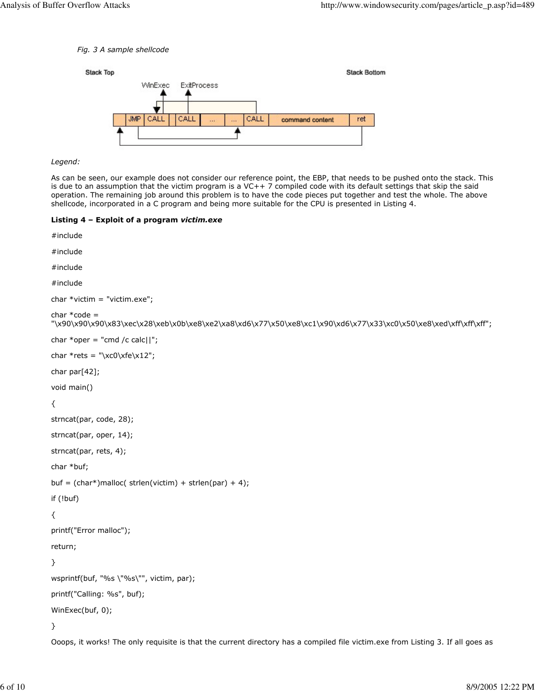#### Fig. 3 A sample shellcode



### Legend:

As can be seen, our example does not consider our reference point, the EBP, that needs to be pushed onto the stack. This is due to an assumption that the victim program is a VC++ 7 compiled code with its default settings that skip the said operation. The remaining job around this problem is to have the code pieces put together and test the whole. The above shellcode, incorporated in a C program and being more suitable for the CPU is presented in Listing 4.

#### Listing 4 – Exploit of a program victim.exe

```
#include 
#include 
#include 
#include 
char *victim = "victim.exe";
char * code ="\x90\x90\x90\x83\xec\x28\xeb\x0b\xe8\xe2\xa8\xd6\x77\x50\xe8\xc1\x90\xd6\x77\x33\xc0\x50\xe8\xed\xff\xff\xff";
char *oper = "cmd /c calc||";
char *rets = \x \csc(12^r);
char par[42];
void main()
{
strncat(par, code, 28);
strncat(par, oper, 14);
strncat(par, rets, 4);
char *buf;
buf = (char*)malloc( strlen(victim) + strlen(par) + 4);
if (!buf)
{
printf("Error malloc");
return;
}
wsprintf(buf, "%s \"%s\"", victim, par);
printf("Calling: %s", buf);
WinExec(buf, 0);
}
Ooops, it works! The only requisite is that the current directory has a compiled file victim.exe from Listing 3. If all goes as
```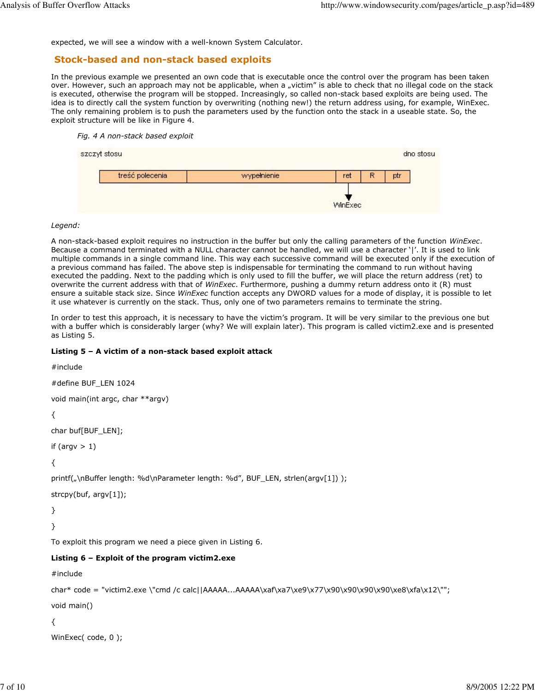expected, we will see a window with a well-known System Calculator.

### Stock-based and non-stack based exploits

In the previous example we presented an own code that is executable once the control over the program has been taken over. However, such an approach may not be applicable, when a "victim" is able to check that no illegal code on the stack is executed, otherwise the program will be stopped. Increasingly, so called non-stack based exploits are being used. The idea is to directly call the system function by overwriting (nothing new!) the return address using, for example, WinExec. The only remaining problem is to push the parameters used by the function onto the stack in a useable state. So, the exploit structure will be like in Figure 4.

#### Fig. 4 A non-stack based exploit



#### Legend:

A non-stack-based exploit requires no instruction in the buffer but only the calling parameters of the function WinExec. Because a command terminated with a NULL character cannot be handled, we will use a character '|'. It is used to link multiple commands in a single command line. This way each successive command will be executed only if the execution of a previous command has failed. The above step is indispensable for terminating the command to run without having executed the padding. Next to the padding which is only used to fill the buffer, we will place the return address (ret) to overwrite the current address with that of WinExec. Furthermore, pushing a dummy return address onto it (R) must ensure a suitable stack size. Since WinExec function accepts any DWORD values for a mode of display, it is possible to let it use whatever is currently on the stack. Thus, only one of two parameters remains to terminate the string.

In order to test this approach, it is necessary to have the victim's program. It will be very similar to the previous one but with a buffer which is considerably larger (why? We will explain later). This program is called victim2.exe and is presented as Listing 5.

### Listing 5 – A victim of a non-stack based exploit attack

```
#include 
#define BUF_LEN 1024
void main(int argc, char **argv)
{
char buf[BUF_LEN];
if (argv > 1)
{
printf("\nBuffer length: %d\nParameter length: %d", BUF_LEN, strlen(argv[1]));
strcpy(buf, argv[1]);
}
}
To exploit this program we need a piece given in Listing 6.
Listing 6 – Exploit of the program victim2.exe
#include 
char* code = "victim2.exe \"cmd /c calc||AAAAA...AAAAA\xaf\xa7\xe9\x77\x90\x90\x90\x90\xe8\xfa\x12\"";
void main()
{
WinExec( code, 0 );
```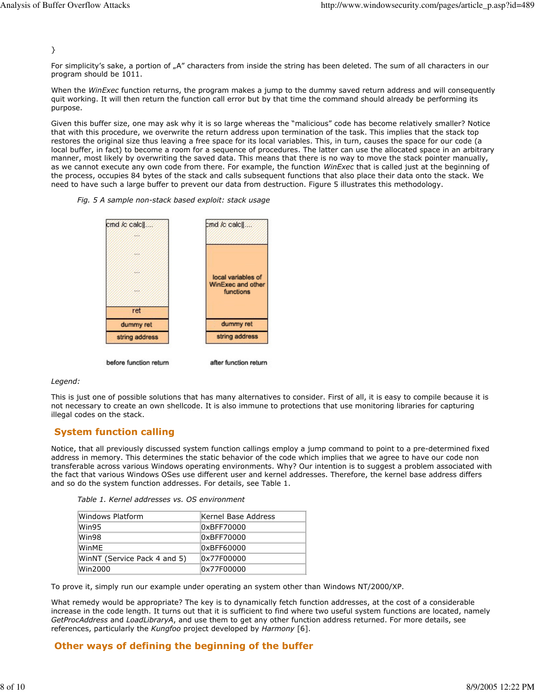}

For simplicity's sake, a portion of "A" characters from inside the string has been deleted. The sum of all characters in our program should be 1011.

When the WinExec function returns, the program makes a jump to the dummy saved return address and will consequently quit working. It will then return the function call error but by that time the command should already be performing its purpose.

Given this buffer size, one may ask why it is so large whereas the "malicious" code has become relatively smaller? Notice that with this procedure, we overwrite the return address upon termination of the task. This implies that the stack top restores the original size thus leaving a free space for its local variables. This, in turn, causes the space for our code (a local buffer, in fact) to become a room for a sequence of procedures. The latter can use the allocated space in an arbitrary manner, most likely by overwriting the saved data. This means that there is no way to move the stack pointer manually, as we cannot execute any own code from there. For example, the function WinExec that is called just at the beginning of the process, occupies 84 bytes of the stack and calls subsequent functions that also place their data onto the stack. We need to have such a large buffer to prevent our data from destruction. Figure 5 illustrates this methodology.

#### Fig. 5 A sample non-stack based exploit: stack usage



# Legend:

This is just one of possible solutions that has many alternatives to consider. First of all, it is easy to compile because it is not necessary to create an own shellcode. It is also immune to protections that use monitoring libraries for capturing illegal codes on the stack.

### System function calling

Notice, that all previously discussed system function callings employ a jump command to point to a pre-determined fixed address in memory. This determines the static behavior of the code which implies that we agree to have our code non transferable across various Windows operating environments. Why? Our intention is to suggest a problem associated with the fact that various Windows OSes use different user and kernel addresses. Therefore, the kernel base address differs and so do the system function addresses. For details, see Table 1.

| Table 1. Kernel addresses vs. OS environment |  |
|----------------------------------------------|--|
|----------------------------------------------|--|

| Windows Platform             | Kernel Base Address |
|------------------------------|---------------------|
| Win95                        | 0xBFF70000          |
| Win98                        | 0xBFF70000          |
| WinMF                        | 0xBFF60000          |
| WinNT (Service Pack 4 and 5) | 0x77F00000          |
| Win2000                      | 0x77F00000          |

To prove it, simply run our example under operating an system other than Windows NT/2000/XP.

What remedy would be appropriate? The key is to dynamically fetch function addresses, at the cost of a considerable increase in the code length. It turns out that it is sufficient to find where two useful system functions are located, namely GetProcAddress and LoadLibraryA, and use them to get any other function address returned. For more details, see references, particularly the Kungfoo project developed by Harmony [6].

# Other ways of defining the beginning of the buffer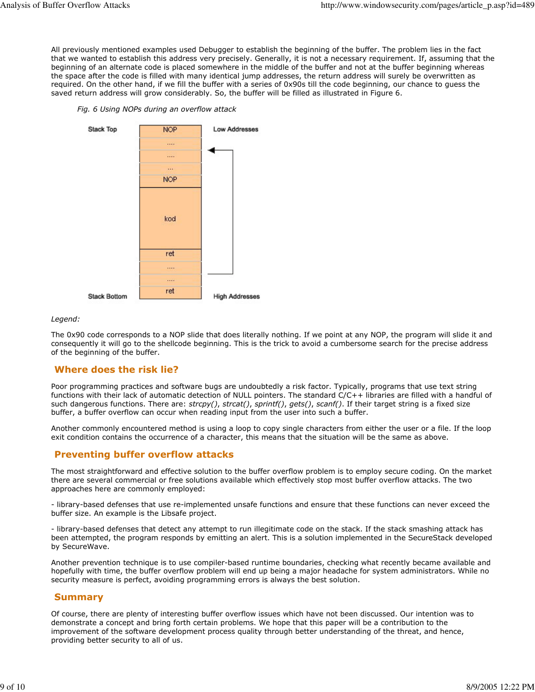All previously mentioned examples used Debugger to establish the beginning of the buffer. The problem lies in the fact that we wanted to establish this address very precisely. Generally, it is not a necessary requirement. If, assuming that the beginning of an alternate code is placed somewhere in the middle of the buffer and not at the buffer beginning whereas the space after the code is filled with many identical jump addresses, the return address will surely be overwritten as required. On the other hand, if we fill the buffer with a series of 0x90s till the code beginning, our chance to guess the saved return address will grow considerably. So, the buffer will be filled as illustrated in Figure 6.

Fig. 6 Using NOPs during an overflow attack



#### Legend:

The 0x90 code corresponds to a NOP slide that does literally nothing. If we point at any NOP, the program will slide it and consequently it will go to the shellcode beginning. This is the trick to avoid a cumbersome search for the precise address of the beginning of the buffer.

# Where does the risk lie?

Poor programming practices and software bugs are undoubtedly a risk factor. Typically, programs that use text string functions with their lack of automatic detection of NULL pointers. The standard C/C++ libraries are filled with a handful of such dangerous functions. There are:  $strcpy()$ ,  $strcat()$ ,  $sprint()$ ,  $gets()$ ,  $scant()$ . If their target string is a fixed size buffer, a buffer overflow can occur when reading input from the user into such a buffer.

Another commonly encountered method is using a loop to copy single characters from either the user or a file. If the loop exit condition contains the occurrence of a character, this means that the situation will be the same as above.

### Preventing buffer overflow attacks

The most straightforward and effective solution to the buffer overflow problem is to employ secure coding. On the market there are several commercial or free solutions available which effectively stop most buffer overflow attacks. The two approaches here are commonly employed:

- library-based defenses that use re-implemented unsafe functions and ensure that these functions can never exceed the buffer size. An example is the Libsafe project.

- library-based defenses that detect any attempt to run illegitimate code on the stack. If the stack smashing attack has been attempted, the program responds by emitting an alert. This is a solution implemented in the SecureStack developed by SecureWave.

Another prevention technique is to use compiler-based runtime boundaries, checking what recently became available and hopefully with time, the buffer overflow problem will end up being a major headache for system administrators. While no security measure is perfect, avoiding programming errors is always the best solution.

### Summary

Of course, there are plenty of interesting buffer overflow issues which have not been discussed. Our intention was to demonstrate a concept and bring forth certain problems. We hope that this paper will be a contribution to the improvement of the software development process quality through better understanding of the threat, and hence, providing better security to all of us.